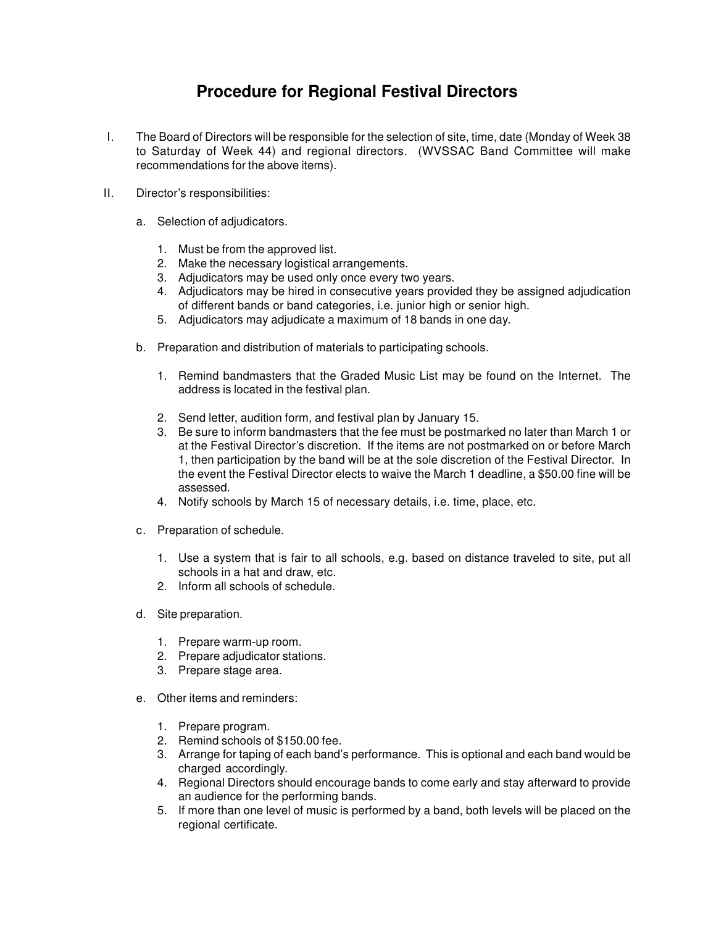## **Procedure for Regional Festival Directors**

- I. The Board of Directors will be responsible for the selection of site, time, date (Monday of Week 38 to Saturday of Week 44) and regional directors. (WVSSAC Band Committee will make recommendations for the above items).
- II. Director's responsibilities:
	- a. Selection of adjudicators.
		- 1. Must be from the approved list.
		- 2. Make the necessary logistical arrangements.
		- 3. Adjudicators may be used only once every two years.
		- 4. Adjudicators may be hired in consecutive years provided they be assigned adjudication of different bands or band categories, i.e. junior high or senior high.
		- 5. Adjudicators may adjudicate a maximum of 18 bands in one day.
	- b. Preparation and distribution of materials to participating schools.
		- 1. Remind bandmasters that the Graded Music List may be found on the Internet. The address is located in the festival plan.
		- 2. Send letter, audition form, and festival plan by January 15.
		- 3. Be sure to inform bandmasters that the fee must be postmarked no later than March 1 or at the Festival Director's discretion. If the items are not postmarked on or before March 1, then participation by the band will be at the sole discretion of the Festival Director. In the event the Festival Director elects to waive the March 1 deadline, a \$50.00 fine will be assessed.
		- 4. Notify schools by March 15 of necessary details, i.e. time, place, etc.
	- c. Preparation of schedule.
		- 1. Use a system that is fair to all schools, e.g. based on distance traveled to site, put all schools in a hat and draw, etc.
		- 2. Inform all schools of schedule.
	- d. Site preparation.
		- 1. Prepare warm-up room.
		- 2. Prepare adjudicator stations.
		- 3. Prepare stage area.
	- e. Other items and reminders:
		- 1. Prepare program.
		- 2. Remind schools of \$150.00 fee.
		- 3. Arrange for taping of each band's performance. This is optional and each band would be charged accordingly.
		- 4. Regional Directors should encourage bands to come early and stay afterward to provide an audience for the performing bands.
		- 5. If more than one level of music is performed by a band, both levels will be placed on the regional certificate.